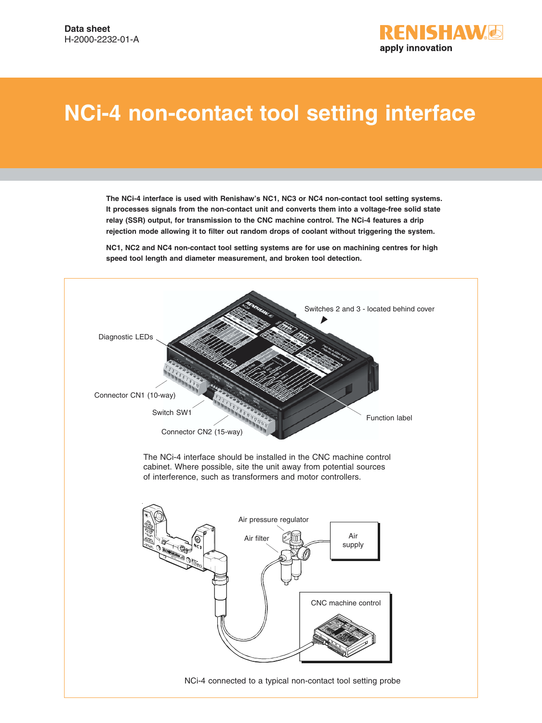

# **NCi-4 non-contact tool setting interface**

**The NCi-4 interface is used with Renishaw's NC1, NC3 or NC4 non-contact tool setting systems. It processes signals from the non-contact unit and converts them into a voltage-free solid state relay (SSR) output, for transmission to the CNC machine control. The NCi-4 features a drip rejection mode allowing it to filter out random drops of coolant without triggering the system.**

**NC1, NC2 and NC4 non-contact tool setting systems are for use on machining centres for high speed tool length and diameter measurement, and broken tool detection.**



NCi-4 connected to a typical non-contact tool setting probe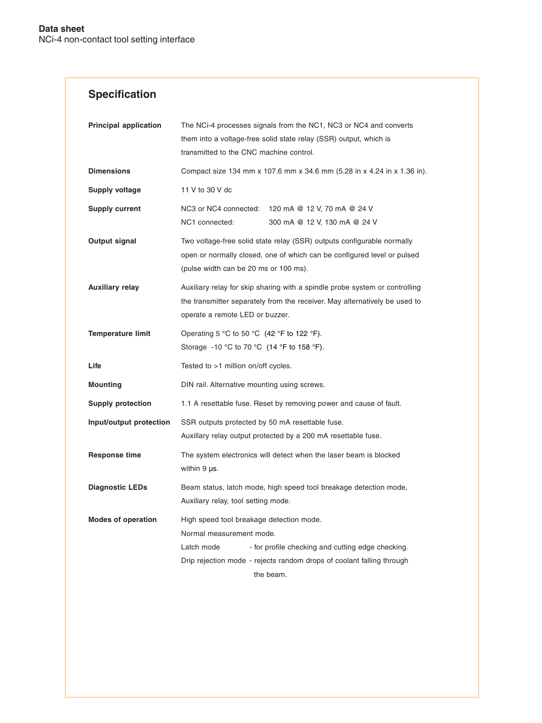# **Specification**

| <b>Principal application</b> | The NCi-4 processes signals from the NC1, NC3 or NC4 and converts<br>them into a voltage-free solid state relay (SSR) output, which is<br>transmitted to the CNC machine control.                                             |  |  |
|------------------------------|-------------------------------------------------------------------------------------------------------------------------------------------------------------------------------------------------------------------------------|--|--|
| <b>Dimensions</b>            | Compact size 134 mm x 107.6 mm x 34.6 mm (5.28 in x 4.24 in x 1.36 in).                                                                                                                                                       |  |  |
| Supply voltage               | 11 V to 30 V dc                                                                                                                                                                                                               |  |  |
| <b>Supply current</b>        | NC3 or NC4 connected: 120 mA @ 12 V, 70 mA @ 24 V<br>NC1 connected:<br>300 mA @ 12 V, 130 mA @ 24 V                                                                                                                           |  |  |
| Output signal                | Two voltage-free solid state relay (SSR) outputs configurable normally<br>open or normally closed, one of which can be configured level or pulsed<br>(pulse width can be 20 ms or 100 ms).                                    |  |  |
| <b>Auxiliary relay</b>       | Auxiliary relay for skip sharing with a spindle probe system or controlling<br>the transmitter separately from the receiver. May alternatively be used to<br>operate a remote LED or buzzer.                                  |  |  |
| <b>Temperature limit</b>     | Operating 5 °C to 50 °C (42 °F to 122 °F).<br>Storage -10 °C to 70 °C (14 °F to 158 °F).                                                                                                                                      |  |  |
| Life                         | Tested to >1 million on/off cycles.                                                                                                                                                                                           |  |  |
| <b>Mounting</b>              | DIN rail. Alternative mounting using screws.                                                                                                                                                                                  |  |  |
| <b>Supply protection</b>     | 1.1 A resettable fuse. Reset by removing power and cause of fault.                                                                                                                                                            |  |  |
| Input/output protection      | SSR outputs protected by 50 mA resettable fuse.<br>Auxillary relay output protected by a 200 mA resettable fuse.                                                                                                              |  |  |
| <b>Response time</b>         | The system electronics will detect when the laser beam is blocked<br>within $9 \mu s$ .                                                                                                                                       |  |  |
| <b>Diagnostic LEDs</b>       | Beam status, latch mode, high speed tool breakage detection mode,<br>Auxiliary relay, tool setting mode.                                                                                                                      |  |  |
| <b>Modes of operation</b>    | High speed tool breakage detection mode.<br>Normal measurement mode.<br>Latch mode<br>- for profile checking and cutting edge checking.<br>Drip rejection mode - rejects random drops of coolant falling through<br>the beam. |  |  |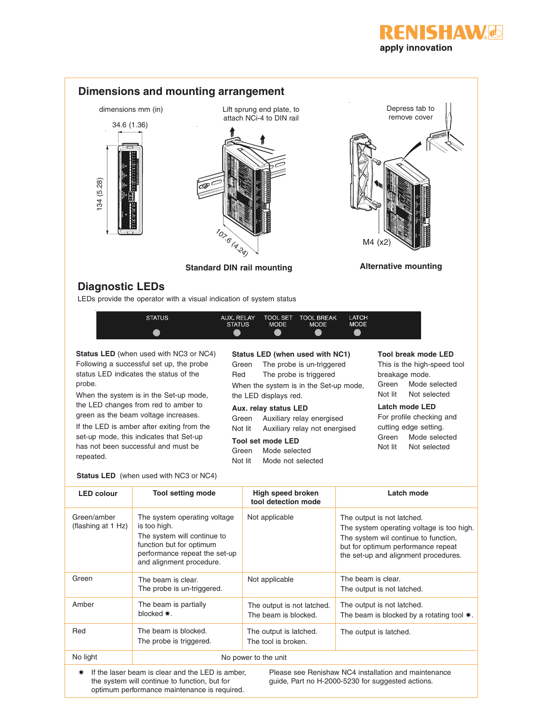



#### **Status LED** (when used with NC3 or NC4)

optimum performance maintenance is required.

| <b>LED colour</b>                 | <b>Tool setting mode</b>                                                                                                                                             | High speed broken<br>tool detection mode           | Latch mode                                                                                                                                                                                    |
|-----------------------------------|----------------------------------------------------------------------------------------------------------------------------------------------------------------------|----------------------------------------------------|-----------------------------------------------------------------------------------------------------------------------------------------------------------------------------------------------|
| Green/amber<br>(flashing at 1 Hz) | The system operating voltage<br>is too high.<br>The system will continue to<br>function but for optimum<br>performance repeat the set-up<br>and alignment procedure. | Not applicable                                     | The output is not latched.<br>The system operating voltage is too high.<br>The system wil continue to function,<br>but for optimum performance repeat<br>the set-up and alignment procedures. |
| Green                             | The beam is clear.<br>The probe is un-triggered.                                                                                                                     | Not applicable                                     | The beam is clear.<br>The output is not latched.                                                                                                                                              |
| Amber                             | The beam is partially<br>blocked *.                                                                                                                                  | The output is not latched.<br>The beam is blocked. | The output is not latched.<br>The beam is blocked by a rotating tool $*$ .                                                                                                                    |
| Red                               | The beam is blocked.<br>The probe is triggered.                                                                                                                      | The output is latched.<br>The tool is broken.      | The output is latched.                                                                                                                                                                        |
| No light                          | No power to the unit                                                                                                                                                 |                                                    |                                                                                                                                                                                               |
| ∗                                 | If the laser beam is clear and the LED is amber.<br>the system will continue to function, but for                                                                    |                                                    | Please see Renishaw NC4 installation and maintenance<br>quide, Part no H-2000-5230 for suggested actions.                                                                                     |